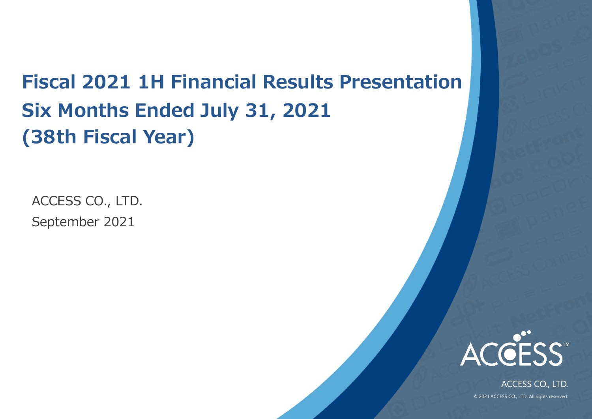## **Fiscal 2021 1H Financial Results Presentation Six Months Ended July 31, 2021 (38th Fiscal Year)**

September 2021 ACCESS CO., LTD.



ACCESS CO., LTD. © 2021 ACCESS CO., LTD. All rights reserved.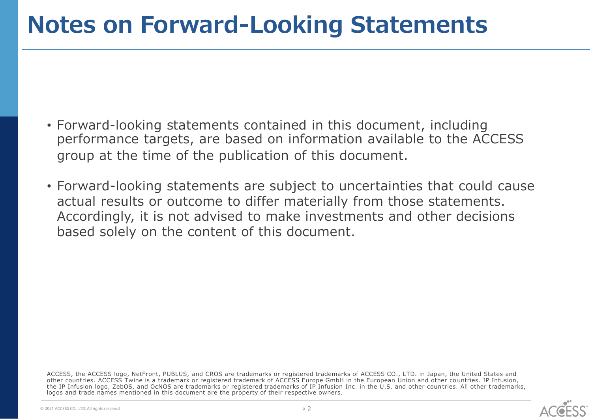## **Notes on Forward-Looking Statements**

- Forward-looking statements contained in this document, including performance targets, are based on information available to the ACCESS group at the time of the publication of this document.
- Forward-looking statements are subject to uncertainties that could cause actual results or outcome to differ materially from those statements. Accordingly, it is not advised to make investments and other decisions based solely on the content of this document.

ACCESS, the ACCESS logo, NetFront, PUBLUS, and CROS are trademarks or registered trademarks of ACCESS CO., LTD. in Japan, the United States and other countries. ACCESS Twine is a trademark or registered trademark of ACCESS Europe GmbH in the European Union and other co untries. IP Infusion, the IP Infusion logo, ZebOS, and OcNOS are trademarks or registered trademarks of IP Infusion Inc. in the U.S. and other coun tries. All other trademarks, logos and trade names mentioned in this document are the property of their respective owners.

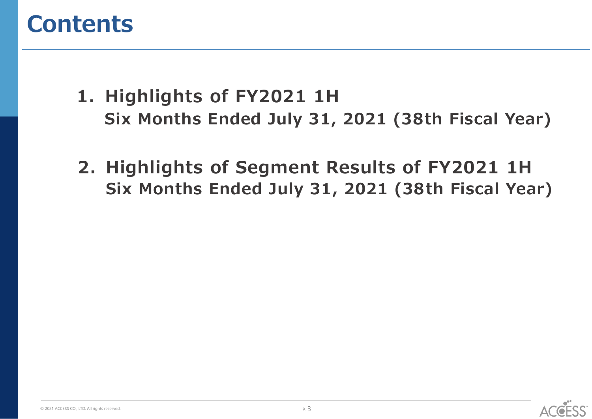## **Contents**

- **1. Highlights of FY2021 1H Six Months Ended July 31, 2021 (38th Fiscal Year)**
- **2. Highlights of Segment Results of FY2021 1H Six Months Ended July 31, 2021 (38th Fiscal Year)**



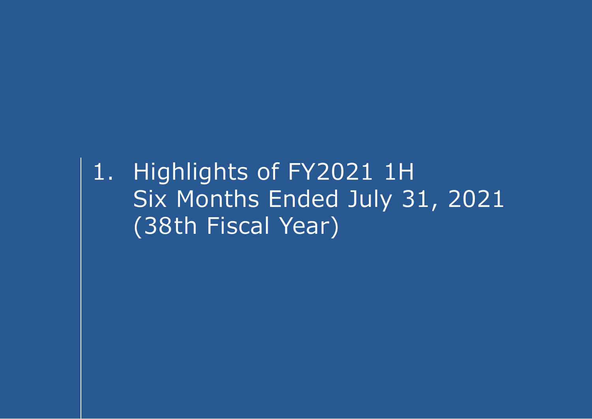1. Highlights of FY2021 1H Six Months Ended July 31, 2021 (38th Fiscal Year)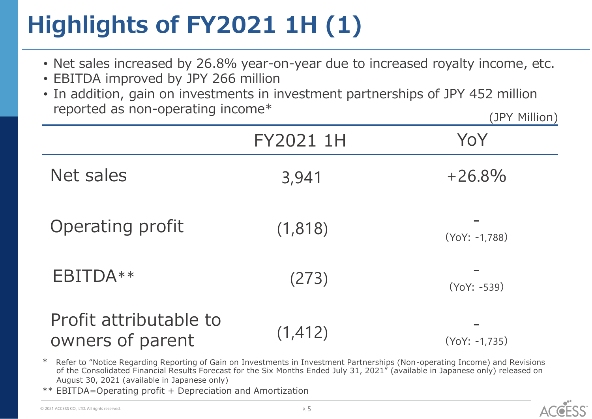# **Highlights of FY2021 1H (1)**

- Net sales increased by 26.8% year-on-year due to increased royalty income, etc.
- EBITDA improved by JPY 266 million
- In addition, gain on investments in investment partnerships of JPY 452 million reported as non-operating income\* (JPY Million)

|                                            | FY2021 1H | YoY                       |
|--------------------------------------------|-----------|---------------------------|
| Net sales                                  | 3,941     | $+26.8%$                  |
| Operating profit                           | (1,818)   | $\sim$<br>$(YoY: -1,788)$ |
| EBITDA**                                   | (273)     | $(YoY: -539)$             |
| Profit attributable to<br>owners of parent | (1, 412)  | $(YoY: -1.735)$           |

- \* Refer to "Notice Regarding Reporting of Gain on Investments in Investment Partnerships (Non-operating Income) and Revisions of the Consolidated Financial Results Forecast for the Six Months Ended July 31, 2021" (available in Japanese only) released on August 30, 2021 (available in Japanese only)
- $EBITDA=Operating profit + Depreciation and Amortization$

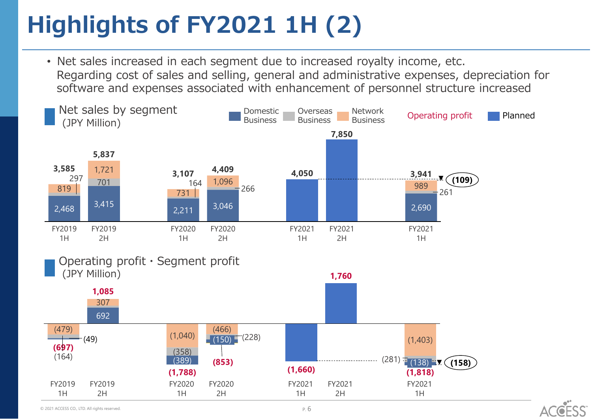# **Highlights of FY2021 1H (2)**

• Net sales increased in each segment due to increased royalty income, etc. Regarding cost of sales and selling, general and administrative expenses, depreciation for software and expenses associated with enhancement of personnel structure increased



Operating profit・Segment profit



 $\odot$  2021 ACCESS CO., LTD. All rights reserved.  $\ddot{P}$  ,  $6$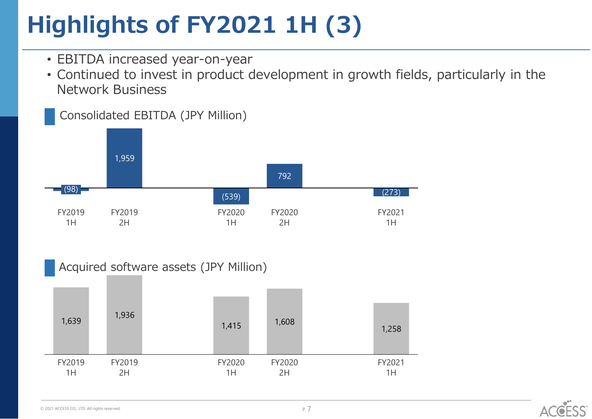# **Highlights of FY2021 1H (3)**

- EBITDA increased year-on-year
- Continued to invest in product development in growth fields, particularly in the Network Business





Acquired software assets (JPY Million)



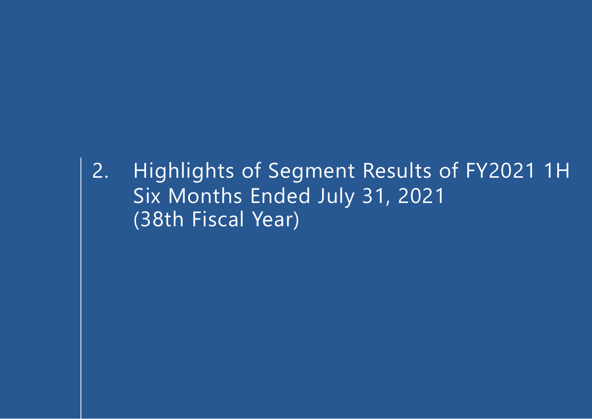2. Highlights of Segment Results of FY2021 1H Six Months Ended July 31, 2021 (38th Fiscal Year)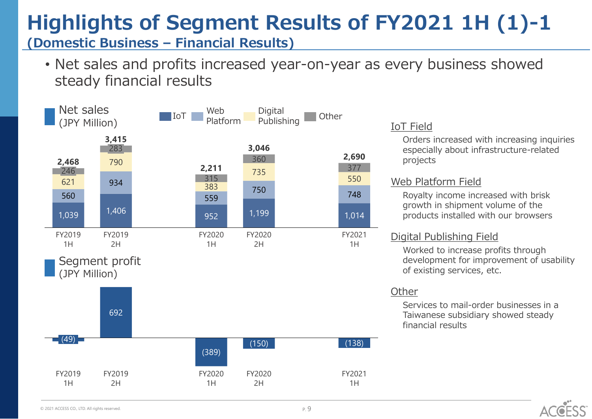## **Highlights of Segment Results of FY2021 1H (1)-1**

**(Domestic Business – Financial Results)**

• Net sales and profits increased year-on-year as every business showed steady financial results



#### IoT Field

Orders increased with increasing inquiries especially about infrastructure-related projects

#### Web Platform Field

Royalty income increased with brisk growth in shipment volume of the products installed with our browsers

#### Digital Publishing Field

Worked to increase profits through development for improvement of usability of existing services, etc.

#### **Other**

Services to mail-order businesses in a Taiwanese subsidiary showed steady financial results

ACGESS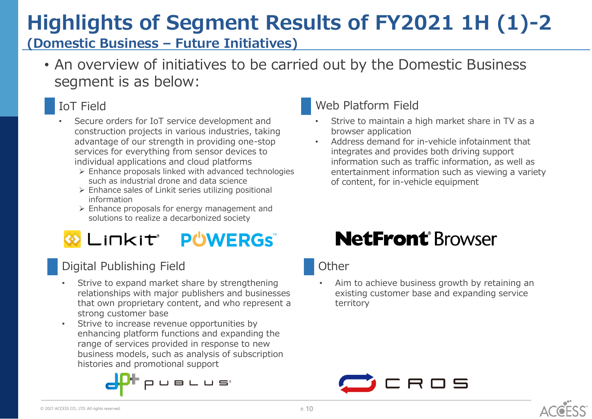## **Highlights of Segment Results of FY2021 1H (1)-2**

### **(Domestic Business – Future Initiatives)**

• An overview of initiatives to be carried out by the Domestic Business segment is as below:

### IoT Field

- Secure orders for IoT service development and construction projects in various industries, taking advantage of our strength in providing one-stop services for everything from sensor devices to individual applications and cloud platforms
	- ➢ Enhance proposals linked with advanced technologies such as industrial drone and data science
	- ➢ Enhance sales of Linkit series utilizing positional information
	- ➢ Enhance proposals for energy management and solutions to realize a decarbonized society

## **WERGS** LINKIT<sup>®</sup> PUWERGS

### Digital Publishing Field

- Strive to expand market share by strengthening relationships with major publishers and businesses that own proprietary content, and who represent a strong customer base
- Strive to increase revenue opportunities by enhancing platform functions and expanding the range of services provided in response to new business models, such as analysis of subscription histories and promotional support



### Web Platform Field

- Strive to maintain a high market share in TV as a browser application
- Address demand for in-vehicle infotainment that integrates and provides both driving support information such as traffic information, as well as entertainment information such as viewing a variety of content, for in-vehicle equipment

## **NetFront**®Browser

#### **Other**

Aim to achieve business growth by retaining an existing customer base and expanding service territory

P. 10

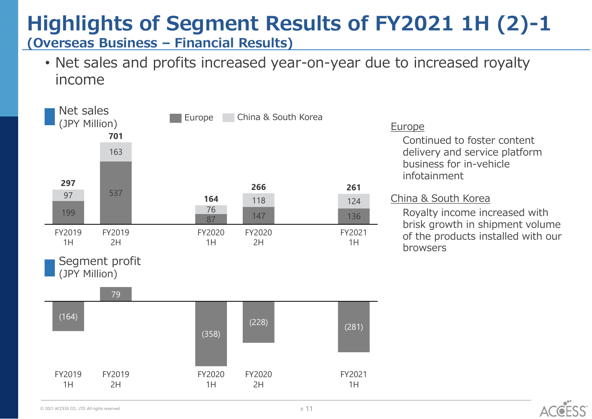### **Highlights of Segment Results of FY2021 1H (2)-1 (Overseas Business – Financial Results)**

• Net sales and profits increased year-on-year due to increased royalty income



#### Europe

Continued to foster content delivery and service platform business for in-vehicle infotainment

#### China & South Korea

Royalty income increased with brisk growth in shipment volume of the products installed with our browsers

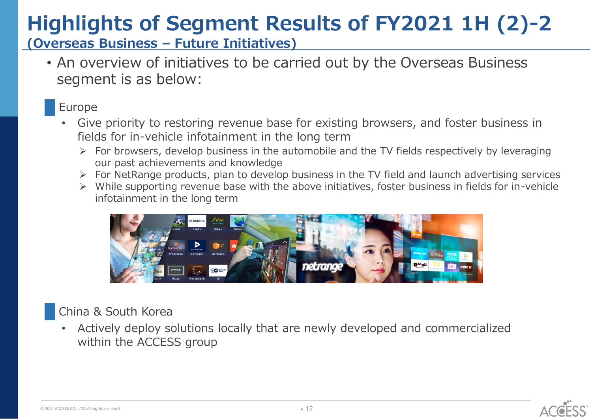# **Highlights of Segment Results of FY2021 1H (2)-2**

**(Overseas Business – Future Initiatives)**

• An overview of initiatives to be carried out by the Overseas Business segment is as below:

### Europe

- Give priority to restoring revenue base for existing browsers, and foster business in fields for in-vehicle infotainment in the long term
	- $\triangleright$  For browsers, develop business in the automobile and the TV fields respectively by leveraging our past achievements and knowledge
	- ➢ For NetRange products, plan to develop business in the TV field and launch advertising services
	- While supporting revenue base with the above initiatives, foster business in fields for in-vehicle infotainment in the long term



### China & South Korea

• Actively deploy solutions locally that are newly developed and commercialized within the ACCESS group

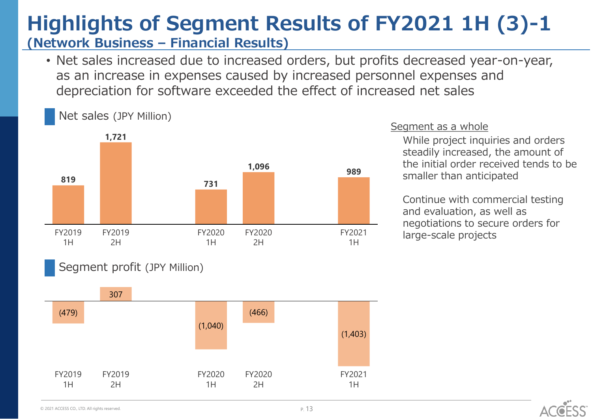### **Highlights of Segment Results of FY2021 1H (3)-1 (Network Business – Financial Results)**

• Net sales increased due to increased orders, but profits decreased year-on-year, as an increase in expenses caused by increased personnel expenses and depreciation for software exceeded the effect of increased net sales



#### Segment as a whole

While project inquiries and orders steadily increased, the amount of the initial order received tends to be smaller than anticipated

Continue with commercial testing and evaluation, as well as negotiations to secure orders for large-scale projects

#### Segment profit (JPY Million)